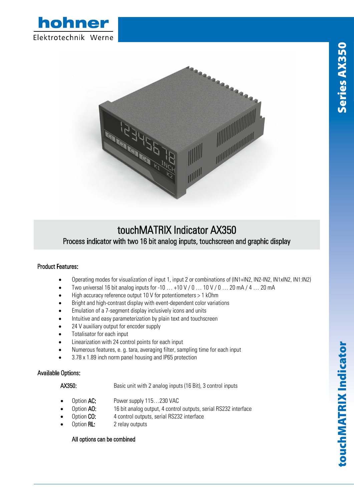



## touchMATRIX Indicator AX350 Process indicator with two 16 bit analog inputs, touchscreen and graphic display

## Product Features:

- Operating modes for visualization of input 1, input 2 or combinations of (IN1+IN2, IN2-IN2, IN1xIN2, IN1:IN2)
- Two universal 16 bit analog inputs for -10  $\dots$  +10 V / 0  $\dots$  10 V / 0  $\dots$  20 mA / 4  $\dots$  20 mA
- High accuracy reference output 10 V for potentiometers > 1 kOhm
- Bright and high-contrast display with event-dependent color variations
- Emulation of a 7-segment display inclusively icons and units
- Intuitive and easy parameterization by plain text and touchscreen
- 24 V auxiliary output for encoder supply
- Totalisator for each input
- Linearization with 24 control points for each input
- Numerous features, e. g. tara, averaging filter, sampling time for each input
- 3.78 x 1.89 inch norm panel housing and IP65 protection

## Available Options:

AX350: Basic unit with 2 analog inputs (16 Bit), 3 control inputs

- Option AC: Power supply 115...230 VAC
- Option AO: 16 bit analog output, 4 control outputs, serial RS232 interface
- Option CO: 4 control outputs, serial RS232 interface
- Option RL: 2 relay outputs

## All options can be combined